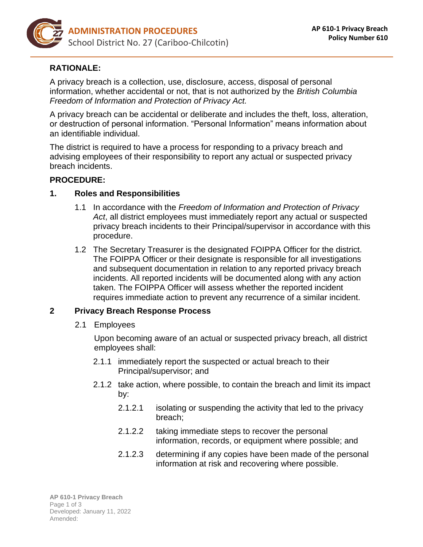

# **RATIONALE:**

A privacy breach is a collection, use, disclosure, access, disposal of personal information, whether accidental or not, that is not authorized by the *British Columbia Freedom of Information and Protection of Privacy Act.*

A privacy breach can be accidental or deliberate and includes the theft, loss, alteration, or destruction of personal information. "Personal Information" means information about an identifiable individual.

The district is required to have a process for responding to a privacy breach and advising employees of their responsibility to report any actual or suspected privacy breach incidents.

### **PROCEDURE:**

### **1. Roles and Responsibilities**

- 1.1 In accordance with the *Freedom of Information and Protection of Privacy Act*, all district employees must immediately report any actual or suspected privacy breach incidents to their Principal/supervisor in accordance with this procedure.
- 1.2 The Secretary Treasurer is the designated FOIPPA Officer for the district. The FOIPPA Officer or their designate is responsible for all investigations and subsequent documentation in relation to any reported privacy breach incidents. All reported incidents will be documented along with any action taken. The FOIPPA Officer will assess whether the reported incident requires immediate action to prevent any recurrence of a similar incident.

## **2 Privacy Breach Response Process**

2.1 Employees

Upon becoming aware of an actual or suspected privacy breach, all district employees shall:

- 2.1.1 immediately report the suspected or actual breach to their Principal/supervisor; and
- 2.1.2 take action, where possible, to contain the breach and limit its impact by:
	- 2.1.2.1 isolating or suspending the activity that led to the privacy breach;
	- 2.1.2.2 taking immediate steps to recover the personal information, records, or equipment where possible; and
	- 2.1.2.3 determining if any copies have been made of the personal information at risk and recovering where possible.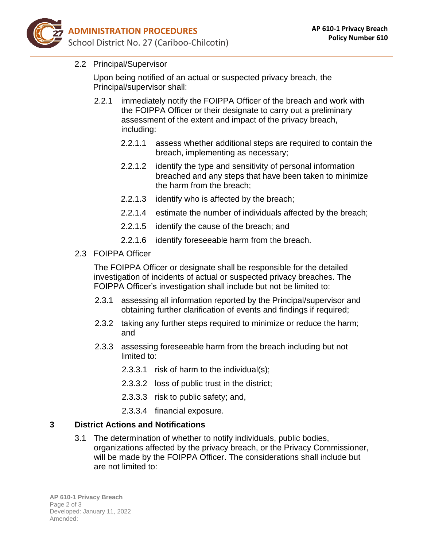

2.2 Principal/Supervisor

Upon being notified of an actual or suspected privacy breach, the Principal/supervisor shall:

- 2.2.1 immediately notify the FOIPPA Officer of the breach and work with the FOIPPA Officer or their designate to carry out a preliminary assessment of the extent and impact of the privacy breach, including:
	- 2.2.1.1 assess whether additional steps are required to contain the breach, implementing as necessary;
	- 2.2.1.2 identify the type and sensitivity of personal information breached and any steps that have been taken to minimize the harm from the breach;
	- 2.2.1.3 identify who is affected by the breach;
	- 2.2.1.4 estimate the number of individuals affected by the breach;
	- 2.2.1.5 identify the cause of the breach; and
	- 2.2.1.6 identify foreseeable harm from the breach.
- 2.3 FOIPPA Officer

The FOIPPA Officer or designate shall be responsible for the detailed investigation of incidents of actual or suspected privacy breaches. The FOIPPA Officer's investigation shall include but not be limited to:

- 2.3.1 assessing all information reported by the Principal/supervisor and obtaining further clarification of events and findings if required;
- 2.3.2 taking any further steps required to minimize or reduce the harm; and
- 2.3.3 assessing foreseeable harm from the breach including but not limited to:
	- 2.3.3.1 risk of harm to the individual(s);
	- 2.3.3.2 loss of public trust in the district;
	- 2.3.3.3 risk to public safety; and,
	- 2.3.3.4 financial exposure.

### **3 District Actions and Notifications**

3.1 The determination of whether to notify individuals, public bodies, organizations affected by the privacy breach, or the Privacy Commissioner, will be made by the FOIPPA Officer. The considerations shall include but are not limited to: